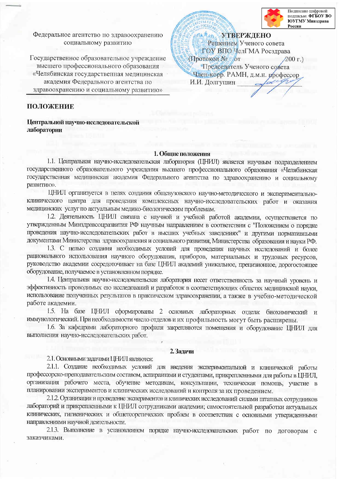

Подписано цифровой подписью: ФГБОУ ВО ЮУГМУ Минздрава России

Федеральное агентство по здравоохранению социальному развитию

Государственное образовательное учреждение высшего профессионального образования «Челябинская государственная медицинская академия Федерального агентства по здравоохранению и социальному развитию»

**УТВЕРЖДЕНО** Решением Ученого совета ГОУ ВПО ЧелГМА Росздрава (Протокол № 67  $200r.$ Председатель Ученого совета Член-корр. РАМН, д.м.н. профессор И.И. Долгушин

## ПОЛОЖЕНИЕ

Центральной научно-исследовательской лаборатории

#### 1. Общие положения

1.1. Центральная научно-исследовательская лаборатория (ЦНИЛ) является научным подразделением государственного образовательного учреждения высшего профессионального образования «Челябинская государственная медицинская академия Федерального агентства по здравоохранению и социальному развитию».

ЦНИЛ организуется в целях создания общевузовского научно-методического и экспериментальноклинического центра для проведения комплексных научно-исследовательских работ и оказания медицинских услуг по актуальным медико-биологическим проблемам.

1.2. Деятельность ЦНИЛ связана с научной и учебной работой академии, осуществляется по утвержденным Минздравсоцразвития РФ научным направлениям в соответствии с "Положением о порядке проведения научно-исследовательских работ в высших учебных заведениях" и другими нормативными документами Министерства здравоохранения и социального развития, Министерства образования и науки РФ.

1.3. С целью создания необходимых условий для проведения научных исследований и более рационального использования научного оборудования, приборов, материальных и трудовых ресурсов, руководство академии сосредоточивает на базе ЦНИЛ академий уникальное, прецизионное, дорогостоящее оборудование, получаемое в установленном порядке.

1.4. Центральная научно-исследовательская лаборатория несет ответственность за научный уровень и эффективность проводимых ею исследований и разработок в соответствующих областях медицинской науки, использование полученных результатов в практическом здравоохранении, а также в учебно-методической работе академии.

1.5. На базе ЦНИЛ сформированы 2 основных лабораторных отдела: биохимический и иммунологический. При необходимости число отделов и их профильность могут быть расширены.

1.6. За кафедрами лабораторного профиля закрепляются помещения и оборудование ЦНИЛ для выполнения научно-исследовательских работ.

#### 2. Задачи

2.1. Основными задачами ЦНИЛ являются:

2.1.1. Создание необходимых условий для введения экспериментальной и клинической работы профессорско-преподавательским составом, аспирантами и студентами, прикрепленными для работы в ЦНИЛ, организация рабочего места, обучение методикам, консультации, техническая помощь, участие в планировании экспериментов и клинических исследований и контроля за их проведением.

2.1.2. Организация и проведение экспериментов и клинических исследований силами штатных сотрудников лабораторий и прикрепленными к ЦНИЛ сотрудниками академии; самостоятельной разработки актуальных клинических, гигиенических и общетеоретических проблем в соответствия с основными утвержденными направлениями научной деятельности.

2.1.3. Выполнение в установленном порядке научно-исследовательских работ по договорам с заказчиками.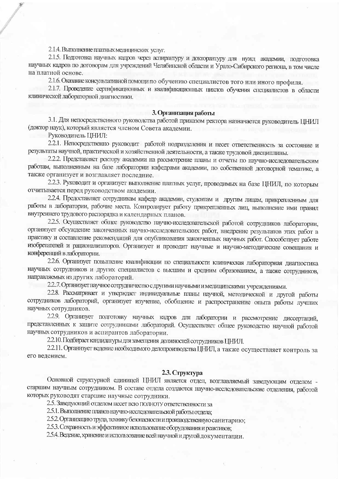2.1.4. Выполнение платных медицинских услуг.

2.1.5. Подготовка научных кадров через аспирантуру и докторантуру для нужд академии, подготовка научных кадров по договорам для учреждений Челябинской области и Урало-Сибирского региона, в том числе на платной основе.

2.1.6. Оказание консультативной помощи по обучению специалистов того или иного профиля.

2.1.7. Проведение сертификационных и квалификационных циклов обучения специалистов в области клинической лабораторной диагностики.

#### 3. Организация работы

3.1. Для непосредственного руководства работой приказом ректора назначается руководитель ЦНИЛ (доктор наук), который является членом Совета академии.

Руководитель ЦНИЛ:

2.2.1. Непосредственно руководит работой подразделения и несет ответственность за состояние и результаты научной, практической и хозяйственной деятельности, а также трудовой дисциплины.

2.2.2. Представляет ректору академии на рассмотрение планы и отчеты по научно-исследовательским работам, выполненным на базе лаборатории кафедрами академии, по собственной договорной тематике, а также организует и возглавляет последние.

2.2.3. Руководит и организует выполнение платных услуг, проводимых на базе ЦНИЛ, по которым отчитывается перед руководством академии.

2.2.4. Предоставляет сотрудникам кафедр академии, студентам и другим лицам, прикрепленным для работы в лаборатории, рабочие места. Контролирует работу прикрепленных лиц, выполнение ими правил внутреннего трудового распорядка и календарных планов.

2.2.5. Осуществляет общее руководство научно-исследовательской работой сотрудников лаборатории, организует обсуждение законченных научно-исследовательских работ, внедрение результатов этих работ в практику и составление рекомендаций для опубликования законченных научных работ. Способствует работе изобретателей и рационализаторов. Организует и проводит научные и научно-методические совещания и конференций в лаборатории.

2.2.6. Организует повышение квалификации по специальности клиническая лабораторная диагностика научных сотрудников и других специалистов с высшим и средним образованием, а также сотрудников, направляемых из других лабораторий.

2.2.7. Организует научное сотрудничество с другими научными и медицинскими учреждениями.

2.2.8. Рассматривает и утверждает индивидуальные планы научной, методической и другой работы сотрудников лабораторий, организует изучение, обобщение и распространение опыта работы лучших научных сотрудников.

2.2.9. Организует подготовку научных кадров для лаборатории и рассмотрение диссертаций, представленных к защите сотрудниками лабораторий. Осуществляет общее руководство научной работой научных сотрудников и аспирантов лаборатории.

2.2.10. Подбирает кандидатуры для замещения должностей сотрудников ЦНИЛ.

2.2.11. Организует ведение необходимого делопроизводства ЦНИЛ, а также осуществляет контроль за его ведением.

# 2.3. Структура

Основной структурной единицей ЦНИЛ является отдел, возглавляемый заведующим отделом старшим научным сотрудником. В составе отдела создаются научно-исследовательские отделения, работой которых руководят старшие научные сотрудники.

2.5. Заведующий отделом несет всю ПОЛНОТУ ответственности за

2.5.1. Выполнение планов научно-исследовательской работы отдела;

2.5.2. Организацию труда, технику безопасности и производственную санитарию;

2.5.3. Сохранность и эффективное использование оборудования и реактивов;

2.5.4. Ведение, хранение и использование всей научной и другой документации.